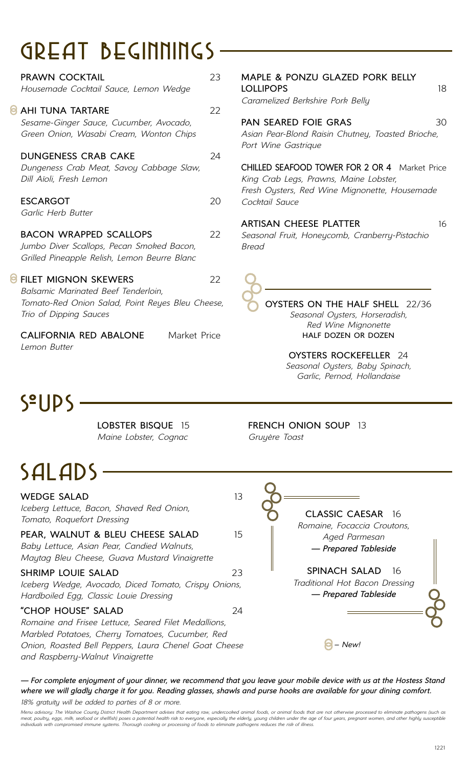# GReat BeginningS

| <b>PRAWN COCKTAIL</b><br>Housemade Cocktail Sauce, Lemon Wedge                                                                                   | 23 |
|--------------------------------------------------------------------------------------------------------------------------------------------------|----|
| <b>AHI TUNA TARTARE</b><br>Sesame-Ginger Sauce, Cucumber, Avocado,<br>Green Onion, Wasabi Cream, Wonton Chips                                    | 22 |
| <b>DUNGENESS CRAB CAKE</b><br>Dungeness Crab Meat, Savoy Cabbage Slaw,<br>Dill Aïoli, Fresh Lemon                                                | 24 |
| <b>ESCARGOT</b><br>Garlic Herb Butter                                                                                                            | 20 |
| <b>BACON WRAPPED SCALLOPS</b><br>Jumbo Diver Scallops, Pecan Smoked Bacon,<br>Grilled Pineapple Relish, Lemon Beurre Blanc                       | 22 |
| <b>FILET MIGNON SKEWERS</b><br>Balsamic Marinated Beef Tenderloin,<br>Tomato-Red Onion Salad, Point Reyes Bleu Cheese,<br>Trio of Dipping Sauces | 22 |
| <b>CALIFORNIA RED ABALONE</b><br>Market Price<br>Lemon Butter                                                                                    |    |

# **MAPLE & PONZU GLAZED PORK BELLY LOLLIPOPS** 18 *Caramelized Berkshire Pork Belly* **PAN SEARED FOIE GRAS** 30 *Asian Pear-Blond Raisin Chutney, Toasted Brioche, Port Wine Gastrique*

**CHILLED SEAFOOD TOWER FOR 2 OR 4** Market Price *King Crab Legs, Prawns, Maine Lobster, Fresh Oysters, Red Wine Mignonette, Housemade Cocktail Sauce*

### **ARTISAN CHEESE PLATTER** 16

*Seasonal Fruit, Honeycomb, Cranberry-Pistachio Bread*

**OYSTERS ON THE HALF SHELL** 22/36 *Seasonal Oysters, Horseradish, Red Wine Mignonette* **HALF DOZEN OR DOZEN**

> **OYSTERS ROCKEFELLER** 24 *Seasonal Oysters, Baby Spinach, Garlic, Pernod, Hollandaise*

**S**<sup>o</sup>UPS

**LOBSTER BISQUE** 15 *Maine Lobster, Cognac*

# SaladS

**WEDGE SALAD** 13 *Iceberg Lettuce, Bacon, Shaved Red Onion, Tomato, Roquefort Dressing* **PEAR, WALNUT & BLEU CHEESE SALAD** 15 *Baby Lettuce, Asian Pear, Candied Walnuts, Maytag Bleu Cheese, Guava Mustard Vinaigrette* **SHRIMP LOUIE SALAD** 23 *Iceberg Wedge, Avocado, Diced Tomato, Crispy Onions, Hardboiled Egg, Classic Louie Dressing* **"CHOP HOUSE" SALAD** 24 *Romaine and Frisee Lettuce, Seared Filet Medallions, Marbled Potatoes, Cherry Tomatoes, Cucumber, Red* 

*Onion, Roasted Bell Peppers, Laura Chenel Goat Cheese and Raspberry-Walnut Vinaigrette*

**FRENCH ONION SOUP** 13 *Gruyère Toast*

**CLASSIC CAESAR** 16

*Romaine, Focaccia Croutons, Aged Parmesan — Prepared Tableside*

**SPINACH SALAD** 16 *Traditional Hot Bacon Dressing — Prepared Tableside*

*– New!*

*— For complete enjoyment of your dinner, we recommend that you leave your mobile device with us at the Hostess Stand where we will gladly charge it for you. Reading glasses, shawls and purse hooks are available for your dining comfort. 18% gratuity will be added to parties of 8 or more.*

*Menu advisory: The Washoe County District Health Department advises that eating raw, undercooked animal foods, or animal foods that are not otherwise processed to eliminate pathogens (such as*  meat, poultry, eggs, milk, seafood or shellfish) poses a potential health risk to everyone, especially the elderly, young children under the age of four years, pregnant women, and other highly susceptible<br>individuals with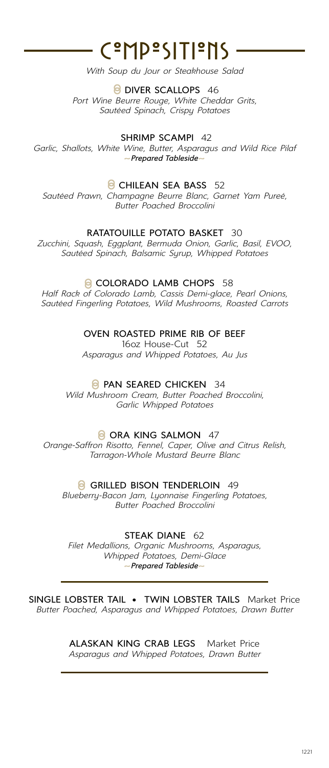# - C°MP°SITI°NS -

*With Soup du Jour or Steakhouse Salad*

**DIVER SCALLOPS** 46

*Port Wine Beurre Rouge, White Cheddar Grits, Sautéed Spinach, Crispy Potatoes*

**SHRIMP SCAMPI** 42

*Garlic, Shallots, White Wine, Butter, Asparagus and Wild Rice Pilaf* ~*Prepared Tableside*~

## **B** CHILEAN SEA BASS 52

*Sautéed Prawn, Champagne Beurre Blanc, Garnet Yam Pureé, Butter Poached Broccolini*

### **RATATOUILLE POTATO BASKET** 30

*Zucchini, Squash, Eggplant, Bermuda Onion, Garlic, Basil, EVOO, Sautéed Spinach, Balsamic Syrup, Whipped Potatoes*

### **COLORADO LAMB CHOPS 58**

*Half Rack of Colorado Lamb, Cassis Demi-glace, Pearl Onions, Sautéed Fingerling Potatoes, Wild Mushrooms, Roasted Carrots*

**OVEN ROASTED PRIME RIB OF BEEF**

16oz House-Cut 52 *Asparagus and Whipped Potatoes, Au Jus*

### **PAN SEARED CHICKEN** 34

*Wild Mushroom Cream, Butter Poached Broccolini, Garlic Whipped Potatoes*

#### **ORA KING SALMON 47**

*Orange-Saffron Risotto, Fennel, Caper, Olive and Citrus Relish, Tarragon-Whole Mustard Beurre Blanc*

**G** GRILLED BISON TENDERLOIN 49

*Blueberry-Bacon Jam, Lyonnaise Fingerling Potatoes, Butter Poached Broccolini*

**STEAK DIANE** 62

*Filet Medallions, Organic Mushrooms, Asparagus, Whipped Potatoes, Demi-Glace* ~*Prepared Tableside*~

**SINGLE LOBSTER TAIL • TWIN LOBSTER TAILS** Market Price *Butter Poached, Asparagus and Whipped Potatoes, Drawn Butter* 

> **ALASKAN KING CRAB LEGS** Market Price *Asparagus and Whipped Potatoes, Drawn Butter*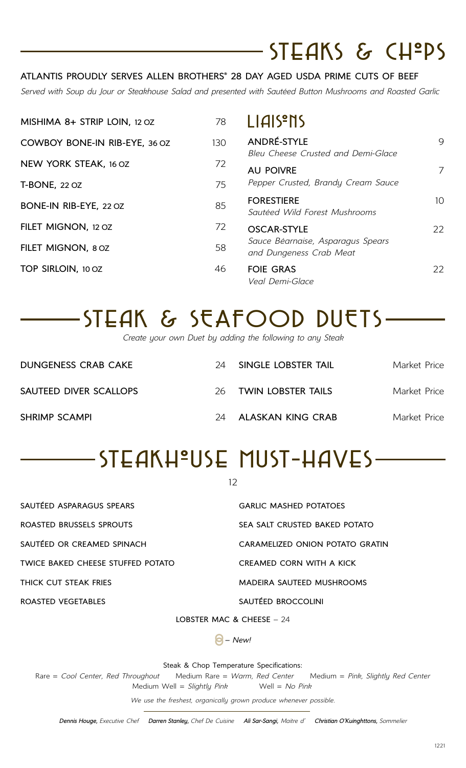# $STEAKS$  &  $CH<sup>ep</sup>S$

# **ATLANTIS PROUDLY SERVES ALLEN BROTHERS® 28 DAY AGED USDA PRIME CUTS OF BEEF**

*Served with Soup du Jour or Steakhouse Salad and presented with Sautéed Button Mushrooms and Roasted Garlic*

| MISHIMA 8+ STRIP LOIN, 12 OZ  | 78  | LIAIS <sup>P</sup> NS                                        |                 |
|-------------------------------|-----|--------------------------------------------------------------|-----------------|
| COWBOY BONE-IN RIB-EYE, 36 OZ | 130 | ANDRÉ-STYLE                                                  | 9               |
| NEW YORK STEAK, 16 OZ         | 72  | Bleu Cheese Crusted and Demi-Glace<br><b>AU POIVRE</b>       | 7               |
| <b>T-BONE, 22 OZ</b>          | 75  | Pepper Crusted, Brandy Cream Sauce                           |                 |
| BONE-IN RIB-EYE, 22 OZ        | 85  | <b>FORESTIERE</b><br>Sautéed Wild Forest Mushrooms           | 10 <sup>°</sup> |
| FILET MIGNON, 12 OZ           | 72  | <b>OSCAR-STYLE</b>                                           | 22              |
| FILET MIGNON, 8 OZ            | 58  | Sauce Béarnaise, Asparagus Spears<br>and Dungeness Crab Meat |                 |
| TOP SIRLOIN, 10 OZ            | 46  | <b>FOIE GRAS</b><br>Veal Demi-Glace                          | 22              |

# SteaK & SEAFOOD DUETS

*Create your own Duet by adding the following to any Steak*

| <b>DUNGENESS CRAB CAKE</b> | 24 | SINGLE LOBSTER TAIL   | Market Price |
|----------------------------|----|-----------------------|--------------|
| SAUTEED DIVER SCALLOPS     |    | 26 TWIN LOBSTER TAILS | Market Price |
| <b>SHRIMP SCAMPI</b>       | 24 | ALASKAN KING CRAB     | Market Price |

# STEAKHºUSE MUST-HAVES-

12

| SAUTÉED ASPARAGUS SPEARS          | <b>GARLIC MASHED POTATOES</b>   |
|-----------------------------------|---------------------------------|
| ROASTED BRUSSELS SPROUTS          | SEA SALT CRUSTED BAKED POTATO   |
| SAUTÉED OR CREAMED SPINACH        | CARAMELIZED ONION POTATO GRATIN |
| TWICE BAKED CHEESE STUFFED POTATO | CREAMED CORN WITH A KICK        |
| THICK CUT STEAK FRIES             | MADEIRA SAUTEED MUSHROOMS       |
| ROASTED VEGETABLES                | SAUTÉED BROCCOLINI              |
|                                   |                                 |

**LOBSTER MAC & CHEESE** – 24

*– New!*

Steak & Chop Temperature Specifications:

Rare = *Cool Center, Red Throughout* Medium Rare = *Warm, Red Center* Medium = *Pink, Slightly Red Center* Medium Well = *Slightly Pink* Well = *No Pink*

*We use the freshest, organically grown produce whenever possible.*

*Dennis Houge, Executive Chef Darren Stanley, Chef De Cuisine Ali Sar-Sangi, Maitre d' Christian O'Kuinghttons, Sommelier*